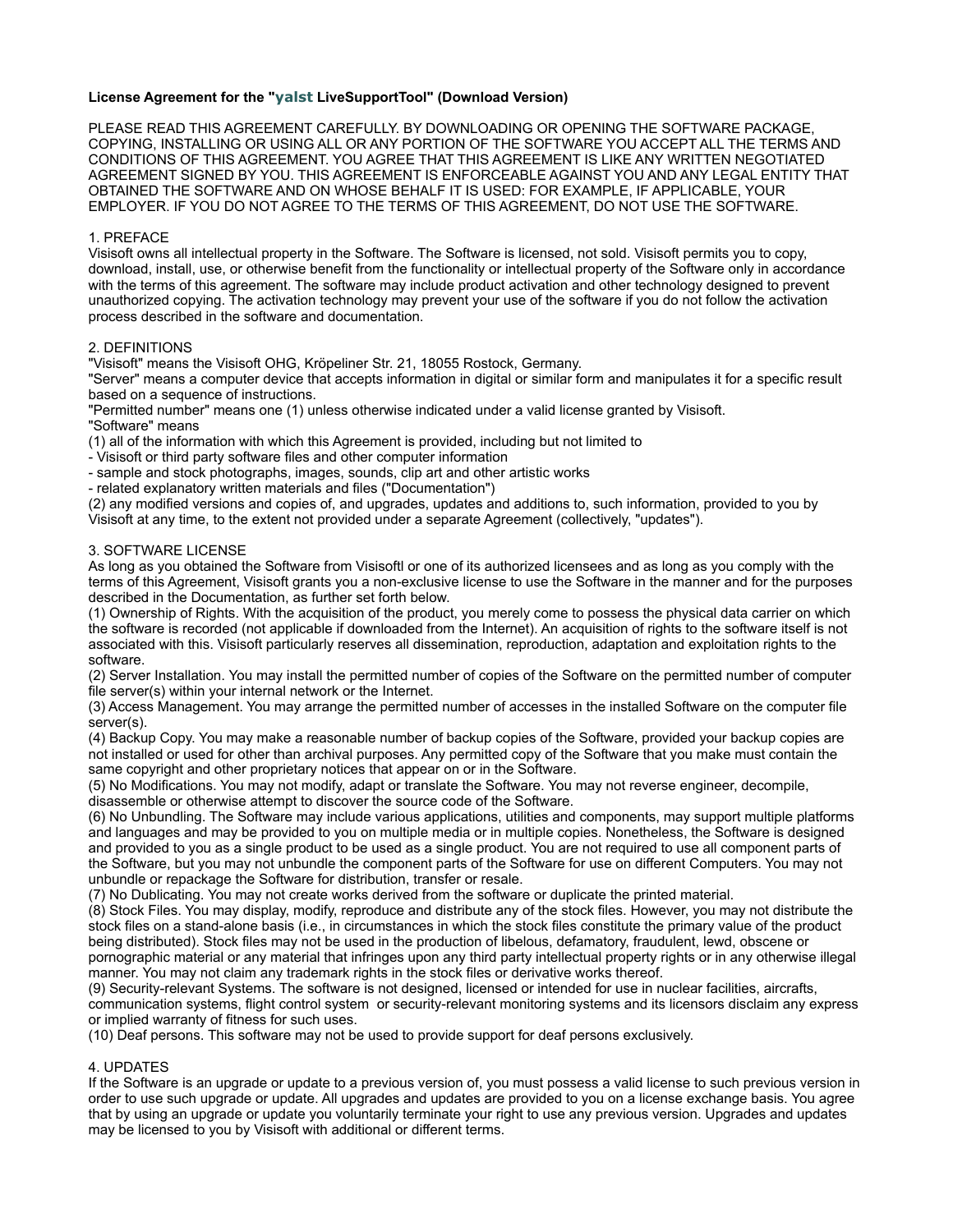# **License Agreement for the "yalst LiveSupportTool" (Download Version)**

PLEASE READ THIS AGREEMENT CAREFULLY. BY DOWNLOADING OR OPENING THE SOFTWARE PACKAGE, COPYING, INSTALLING OR USING ALL OR ANY PORTION OF THE SOFTWARE YOU ACCEPT ALL THE TERMS AND CONDITIONS OF THIS AGREEMENT. YOU AGREE THAT THIS AGREEMENT IS LIKE ANY WRITTEN NEGOTIATED AGREEMENT SIGNED BY YOU. THIS AGREEMENT IS ENFORCEABLE AGAINST YOU AND ANY LEGAL ENTITY THAT OBTAINED THE SOFTWARE AND ON WHOSE BEHALF IT IS USED: FOR EXAMPLE, IF APPLICABLE, YOUR EMPLOYER. IF YOU DO NOT AGREE TO THE TERMS OF THIS AGREEMENT, DO NOT USE THE SOFTWARE.

# 1. PREFACE

Visisoft owns all intellectual property in the Software. The Software is licensed, not sold. Visisoft permits you to copy, download, install, use, or otherwise benefit from the functionality or intellectual property of the Software only in accordance with the terms of this agreement. The software may include product activation and other technology designed to prevent unauthorized copying. The activation technology may prevent your use of the software if you do not follow the activation process described in the software and documentation.

# 2. DEFINITIONS

"Visisoft" means the Visisoft OHG, Kröpeliner Str. 21, 18055 Rostock, Germany.

"Server" means a computer device that accepts information in digital or similar form and manipulates it for a specific result based on a sequence of instructions.

"Permitted number" means one (1) unless otherwise indicated under a valid license granted by Visisoft. "Software" means

(1) all of the information with which this Agreement is provided, including but not limited to

- Visisoft or third party software files and other computer information

- sample and stock photographs, images, sounds, clip art and other artistic works

- related explanatory written materials and files ("Documentation")

(2) any modified versions and copies of, and upgrades, updates and additions to, such information, provided to you by Visisoft at any time, to the extent not provided under a separate Agreement (collectively, "updates").

## 3. SOFTWARE LICENSE

As long as you obtained the Software from Visisoftl or one of its authorized licensees and as long as you comply with the terms of this Agreement, Visisoft grants you a non-exclusive license to use the Software in the manner and for the purposes described in the Documentation, as further set forth below.

(1) Ownership of Rights. With the acquisition of the product, you merely come to possess the physical data carrier on which the software is recorded (not applicable if downloaded from the Internet). An acquisition of rights to the software itself is not associated with this. Visisoft particularly reserves all dissemination, reproduction, adaptation and exploitation rights to the software.

(2) Server Installation. You may install the permitted number of copies of the Software on the permitted number of computer file server(s) within your internal network or the Internet.

(3) Access Management. You may arrange the permitted number of accesses in the installed Software on the computer file server(s).

(4) Backup Copy. You may make a reasonable number of backup copies of the Software, provided your backup copies are not installed or used for other than archival purposes. Any permitted copy of the Software that you make must contain the same copyright and other proprietary notices that appear on or in the Software.

(5) No Modifications. You may not modify, adapt or translate the Software. You may not reverse engineer, decompile, disassemble or otherwise attempt to discover the source code of the Software.

(6) No Unbundling. The Software may include various applications, utilities and components, may support multiple platforms and languages and may be provided to you on multiple media or in multiple copies. Nonetheless, the Software is designed and provided to you as a single product to be used as a single product. You are not required to use all component parts of the Software, but you may not unbundle the component parts of the Software for use on different Computers. You may not unbundle or repackage the Software for distribution, transfer or resale.

(7) No Dublicating. You may not create works derived from the software or duplicate the printed material.

(8) Stock Files. You may display, modify, reproduce and distribute any of the stock files. However, you may not distribute the stock files on a stand-alone basis (i.e., in circumstances in which the stock files constitute the primary value of the product being distributed). Stock files may not be used in the production of libelous, defamatory, fraudulent, lewd, obscene or pornographic material or any material that infringes upon any third party intellectual property rights or in any otherwise illegal manner. You may not claim any trademark rights in the stock files or derivative works thereof.

(9) Security-relevant Systems. The software is not designed, licensed or intended for use in nuclear facilities, aircrafts, communication systems, flight control system or security-relevant monitoring systems and its licensors disclaim any express or implied warranty of fitness for such uses.

(10) Deaf persons. This software may not be used to provide support for deaf persons exclusively.

## 4. UPDATES

If the Software is an upgrade or update to a previous version of, you must possess a valid license to such previous version in order to use such upgrade or update. All upgrades and updates are provided to you on a license exchange basis. You agree that by using an upgrade or update you voluntarily terminate your right to use any previous version. Upgrades and updates may be licensed to you by Visisoft with additional or different terms.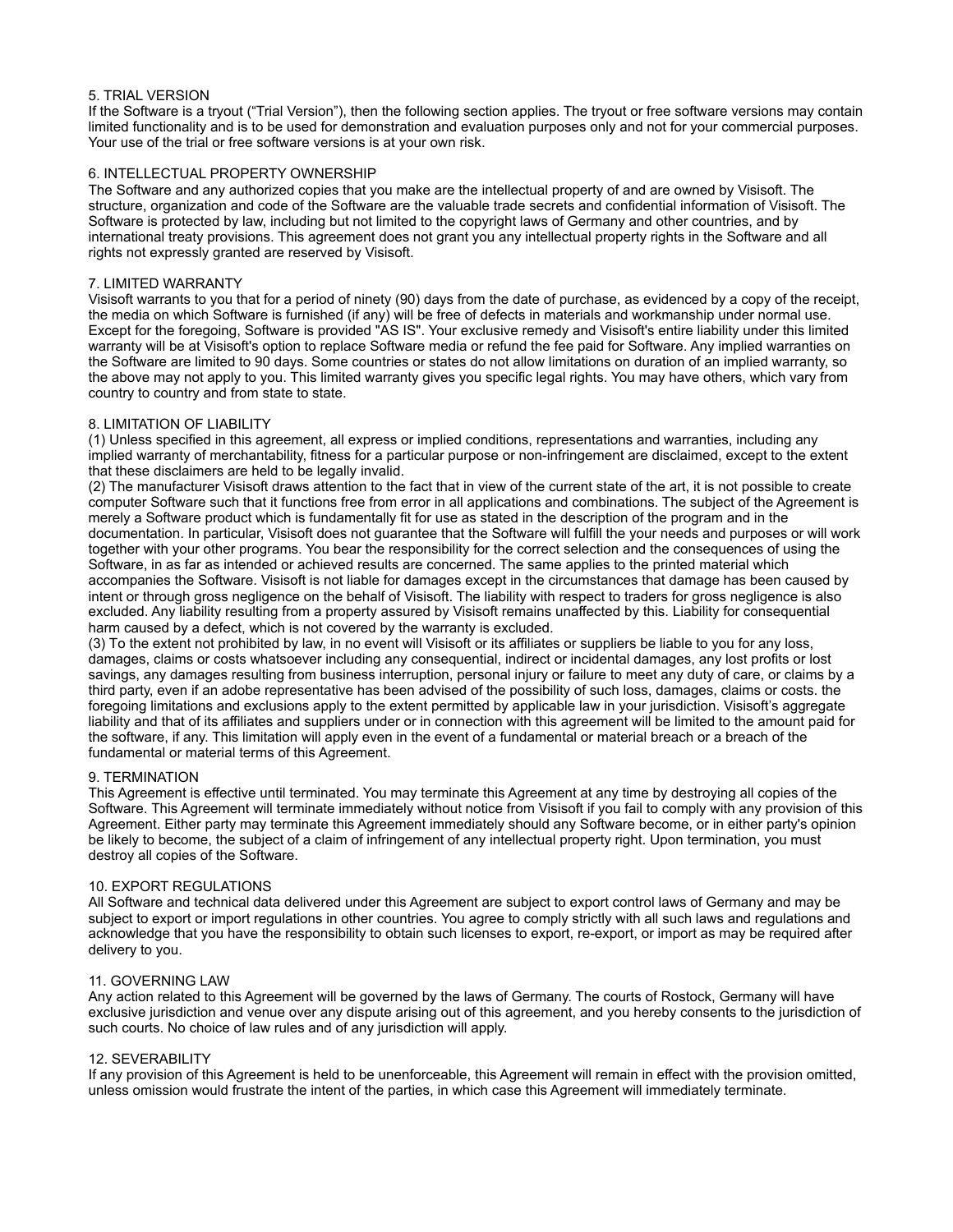## 5. TRIAL VERSION

If the Software is a tryout ("Trial Version"), then the following section applies. The tryout or free software versions may contain limited functionality and is to be used for demonstration and evaluation purposes only and not for your commercial purposes. Your use of the trial or free software versions is at your own risk.

## 6. INTELLECTUAL PROPERTY OWNERSHIP

The Software and any authorized copies that you make are the intellectual property of and are owned by Visisoft. The structure, organization and code of the Software are the valuable trade secrets and confidential information of Visisoft. The Software is protected by law, including but not limited to the copyright laws of Germany and other countries, and by international treaty provisions. This agreement does not grant you any intellectual property rights in the Software and all rights not expressly granted are reserved by Visisoft.

### 7. LIMITED WARRANTY

Visisoft warrants to you that for a period of ninety (90) days from the date of purchase, as evidenced by a copy of the receipt, the media on which Software is furnished (if any) will be free of defects in materials and workmanship under normal use. Except for the foregoing, Software is provided "AS IS". Your exclusive remedy and Visisoft's entire liability under this limited warranty will be at Visisoft's option to replace Software media or refund the fee paid for Software. Any implied warranties on the Software are limited to 90 days. Some countries or states do not allow limitations on duration of an implied warranty, so the above may not apply to you. This limited warranty gives you specific legal rights. You may have others, which vary from country to country and from state to state.

### 8. LIMITATION OF LIABILITY

(1) Unless specified in this agreement, all express or implied conditions, representations and warranties, including any implied warranty of merchantability, fitness for a particular purpose or non-infringement are disclaimed, except to the extent that these disclaimers are held to be legally invalid.

(2) The manufacturer Visisoft draws attention to the fact that in view of the current state of the art, it is not possible to create computer Software such that it functions free from error in all applications and combinations. The subject of the Agreement is merely a Software product which is fundamentally fit for use as stated in the description of the program and in the documentation. In particular, Visisoft does not guarantee that the Software will fulfill the your needs and purposes or will work together with your other programs. You bear the responsibility for the correct selection and the consequences of using the Software, in as far as intended or achieved results are concerned. The same applies to the printed material which accompanies the Software. Visisoft is not liable for damages except in the circumstances that damage has been caused by intent or through gross negligence on the behalf of Visisoft. The liability with respect to traders for gross negligence is also excluded. Any liability resulting from a property assured by Visisoft remains unaffected by this. Liability for consequential harm caused by a defect, which is not covered by the warranty is excluded.

(3) To the extent not prohibited by law, in no event will Visisoft or its affiliates or suppliers be liable to you for any loss, damages, claims or costs whatsoever including any consequential, indirect or incidental damages, any lost profits or lost savings, any damages resulting from business interruption, personal injury or failure to meet any duty of care, or claims by a third party, even if an adobe representative has been advised of the possibility of such loss, damages, claims or costs. the foregoing limitations and exclusions apply to the extent permitted by applicable law in your jurisdiction. Visisoft's aggregate liability and that of its affiliates and suppliers under or in connection with this agreement will be limited to the amount paid for the software, if any. This limitation will apply even in the event of a fundamental or material breach or a breach of the fundamental or material terms of this Agreement.

#### 9. TERMINATION

This Agreement is effective until terminated. You may terminate this Agreement at any time by destroying all copies of the Software. This Agreement will terminate immediately without notice from Visisoft if you fail to comply with any provision of this Agreement. Either party may terminate this Agreement immediately should any Software become, or in either party's opinion be likely to become, the subject of a claim of infringement of any intellectual property right. Upon termination, you must destroy all copies of the Software.

#### 10. EXPORT REGULATIONS

All Software and technical data delivered under this Agreement are subject to export control laws of Germany and may be subject to export or import regulations in other countries. You agree to comply strictly with all such laws and regulations and acknowledge that you have the responsibility to obtain such licenses to export, re-export, or import as may be required after delivery to you.

#### 11. GOVERNING LAW

Any action related to this Agreement will be governed by the laws of Germany. The courts of Rostock, Germany will have exclusive jurisdiction and venue over any dispute arising out of this agreement, and you hereby consents to the jurisdiction of such courts. No choice of law rules and of any jurisdiction will apply.

#### 12. SEVERABILITY

If any provision of this Agreement is held to be unenforceable, this Agreement will remain in effect with the provision omitted, unless omission would frustrate the intent of the parties, in which case this Agreement will immediately terminate.